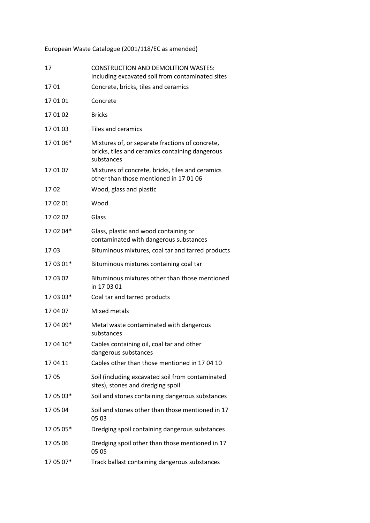European Waste Catalogue (2001/118/EC as amended)

| 17        | <b>CONSTRUCTION AND DEMOLITION WASTES:</b><br>Including excavated soil from contaminated sites                   |
|-----------|------------------------------------------------------------------------------------------------------------------|
| 17 01     | Concrete, bricks, tiles and ceramics                                                                             |
| 170101    | Concrete                                                                                                         |
| 170102    | <b>Bricks</b>                                                                                                    |
| 170103    | Tiles and ceramics                                                                                               |
| 170106*   | Mixtures of, or separate fractions of concrete,<br>bricks, tiles and ceramics containing dangerous<br>substances |
| 170107    | Mixtures of concrete, bricks, tiles and ceramics<br>other than those mentioned in 170106                         |
| 1702      | Wood, glass and plastic                                                                                          |
| 17 02 01  | Wood                                                                                                             |
| 170202    | Glass                                                                                                            |
| 17 02 04* | Glass, plastic and wood containing or<br>contaminated with dangerous substances                                  |
| 1703      | Bituminous mixtures, coal tar and tarred products                                                                |
| 17 03 01* | Bituminous mixtures containing coal tar                                                                          |
| 170302    | Bituminous mixtures other than those mentioned<br>in 170301                                                      |
| 170303*   | Coal tar and tarred products                                                                                     |
| 170407    | Mixed metals                                                                                                     |
| 170409*   | Metal waste contaminated with dangerous<br>substances                                                            |
| 17 04 10* | Cables containing oil, coal tar and other<br>dangerous substances                                                |
| 170411    | Cables other than those mentioned in 1704 10                                                                     |
| 1705      | Soil (including excavated soil from contaminated<br>sites), stones and dredging spoil                            |
| 17 05 03* | Soil and stones containing dangerous substances                                                                  |
| 170504    | Soil and stones other than those mentioned in 17<br>05 03                                                        |
| 17 05 05* | Dredging spoil containing dangerous substances                                                                   |
| 17 05 06  | Dredging spoil other than those mentioned in 17<br>05 05                                                         |
| 17 05 07* | Track ballast containing dangerous substances                                                                    |